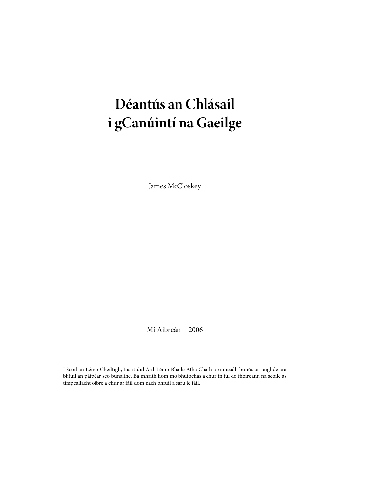# **Déantús an Chlásail i gCanúintí na Gaeilge**

James McCloskey

Mí Aibreán 2006

I Scoil an Léinn Cheiltigh, Institiúid Ard-Léinn Bhaile Átha Cliath a rinneadh bunús an taighde ara bhfuil an páipéar seo bunaithe. Ba mhaith liom mo bhuíochas a chur in iúl do fhoireann na scoile as timpeallacht oibre a chur ar fáil dom nach bhfuil a sárú le fáil.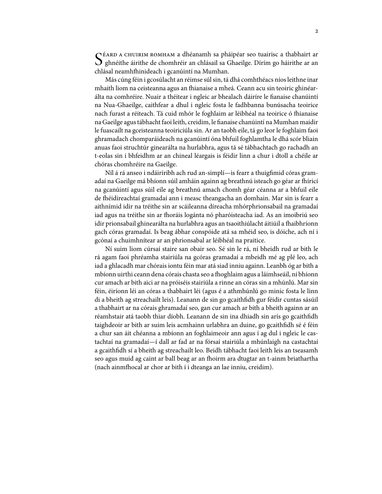S  $\cap$ ÉARD A CHUIRIM ROMHAM a dhéanamh sa pháipéar seo tuairisc a thabhairt ar ghnéithe áirithe de chomhréir an chlásail sa Ghaeilge. Dírím go háirithe ar an chlásal neamhfhinideach i gcanúintí na Mumhan.

Más cúng féin i gcosúlacht an réimse súl sin, tá dhá comhthéacs níos leithne inar mhaith liom na ceisteanna agus an fhianaise a mheá. Ceann acu sin teoiric ghinéarálta na comhréire. Nuair a théitear i ngleic ar bhealach dáiríre le fianaise chanúintí na Nua-Ghaeilge, caithfear a dhul i ngleic fosta le fadhbanna bunúsacha teoirice nach furast a réiteach. Tá cuid mhór le foghlaim ar léibhéal na teoirice ó fhianaise na Gaeilge agustábhacht faoi leith, creidim, le fianaise chanúintí na Mumhan maidir le fuascailt na gceisteanna teoiriciúla sin. Ar an taobh eile, tá go leor le foghlaim faoi ghramadach chomparáideach na gcanúintí óna bhfuil foghlamtha le dhá scór bliain anuas faoi struchtúr ginearálta na hurlabhra, agus tá sé tábhachtach go rachadh an t-eolas sin i bhfeidhm ar an chineal léargais is féidir linn a chur i dtoll a chéile ar chóras chomhréire na Gaeilge.

Níl á rá anseo i ndáiríribh ach rud an-simplí—is fearr a thuigfimid córas gramadaí na Gaeilge má bhíonn súil amháin againn ag breathnú isteach go géar ar fhíricí na gcanúintí agus súil eile ag breathnú amach chomh géar céanna ar a bhfuil eile de fhéidireachtaí gramadaí ann i measc theangacha an domhain. Mar sin is fearr a aithnímid idir na tréithe sin ar scáileanna díreacha mhórphrionsabail na gramadaí iad agus na tréithe sin ar fhoráis logánta nó pharóisteacha iad. As an imoibriú seo idir prionsabail ghinearálta na hurlabhra agus an tsaoithiúlacht áitiúil a fhaibhríonn gach córas gramadaí. Is beag ábhar conspóide atá sa mhéid seo, is dóiche, ach ní i gcónaí a chuimhnítear ar an phrionsabal ar léibhéal na praitice.

Ní suim liom cúrsaí staire san obair seo. Sé sin le rá, ní bheidh rud ar bith le rá agam faoi phréamha stairiúla na gcóras gramadaí a mbeidh mé ag plé leo, ach iad a ghlacadh mar chórais iontu féin mar atá siad inniu againn. Leanbh óg ar bith a mbíonn uirthi ceann dena córais chasta seo a fhoghlaim agus a láimhseáil, ní bhíonn cur amach ar bith aici ar na próiséis stairiúla a rinne an córas sin a mhúnlú. Mar sin féin, éiríonn léi an córas a thabhairt léi (agus é a athmhúnlú go minic fosta le linn di a bheith ag streachailt leis). Leanann de sin go gcaithfidh gur féidir cuntas sásúil a thabhairt ar na córais ghramadaí seo, gan cur amach ar bith a bheith againn ar an réamhstair atá taobh thiar díobh. Leanann de sin ina dhiadh sin arís go gcaithfidh taighdeoir ar bith ar suim leis acmhainn urlabhra an duine, go gcaithfidh sé é féin a chur san áit chéanna a mbíonn an foghlaimeoir ann agus í ag dul i ngleic le castachtaí na gramadaí—í dall ar fad ar na fórsaí stairiúla a mhúnlaigh na castachtaí a gcaithfidh sí a bheith ag streachailt leo. Beidh tábhacht faoi leith leis an tseasamh seo agus muid ag caint ar ball beag ar an fhoirm ara dtugtar an t-ainm briathartha (nach ainmfhocal ar chor ar bith í i dteanga an lae inniu, creidim).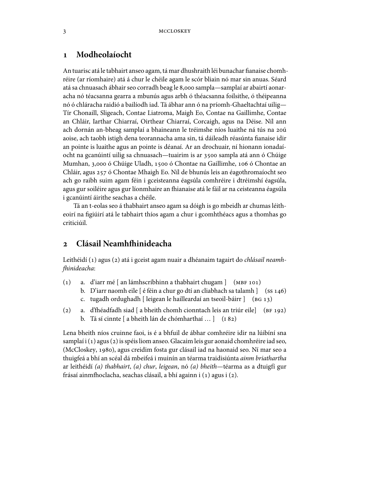# **Modheolaíocht**

An tuarisc atá le tabhairt anseo agam, tá mar dhushraith léi bunachar fianaise chomhréire (ar ríomhaire) atá á chur le chéile agam le scór bliain nó mar sin anuas. Séard atá sa chnuasach ábhair seo corradh beag le 8,000 sampla—samplaí ar abairtí aonaracha nó téacsanna gearra a mbunús agus arbh ó théacsanna foilsithe, ó théipeanna nó ó chláracha raidió a bailíodh iad. Tá ábhar ann ó na príomh-Ghaeltachtaí uilig— Tír Chonaill, Sligeach, Contae Liatroma, Maigh Eo, Contae na Gaillimhe, Contae an Chláir, Iarthar Chiarraí, Oirthear Chiarraí, Corcaigh, agus na Déise. Níl ann ach dornán an-bheag samplaí a bhaineann le tréimshe níos luaithe ná tús na 20ú aoise, ach taobh istigh dena teorannacha ama sin, tá dáileadh réasúnta fianaise idir an pointe is luaithe agus an pointe is déanaí. Ar an drochuair, ní hionann ionadaíocht na gcanúintí uilig sa chnuasach—tuairim is ar 3500 sampla atá ann ó Chúige Mumhan, 3,000 ó Chúige Uladh, 1500 ó Chontae na Gaillimhe, 106 ó Chontae an Chláir, agus 257 ó Chontae Mhaigh Eo. Níl de bhunús leis an éagothromaíocht seo ach go raibh suim agam féin i gceisteanna éagsúla comhréire i dtréimshí éagsúla, agus gur soiléire agus gur líonmhaire an fhianaise atá le fáil ar na ceisteanna éagsúla i gcanúintí áirithe seachas a chéile.

Tá an t-eolas seo á thabhairt anseo agam sa dóigh is go mbeidh ar chumas léitheoirí na figiúirí atá le tabhairt thíos agam a chur i gcomhthéacs agus a thomhas go criticiúil.

# 2 Clásail Neamhfhinideacha

Leithéidí (1) agus (2) atá i gceist agam nuair a dhéanaim tagairt do chlásail neamhfhinideacha:

- (1) a. d'iarr mé  $\lceil$  an lámhscríbhinn a thabhairt chugam  $\lceil$  (MBF 101)
	- b. D'iarr naomh eile [ é féin a chur go dtí an cliabhach sa talamh ] (ss 146)
	- c. tugadh ordughadh [ leigean le hailleardaí an tseoil-báirr ] (BG 13)
- (2) a. d'fhéadfadh siad [ a bheith chomh cionntach leis an triúr eile] (BF 192) b. Tá sí cinnte [ a bheith lán de chómharthaí ... ] (182)

Lena bheith níos cruinne faoi, is é a bhfuil de ábhar comhréire idir na lúibíní sna samplaí i(1) agus(2) is spéis liom anseo. Glacaim leis gur aonaid chomhréire iad seo, (McCloskey, 1980), agus creidim fosta gur clásail iad na haonaid seo. Ní mar seo a thuigfeá a bhí an scéal dá mbeifeá i muinín an téarma traidisiúnta ainm briathartha ar leithéidí (a) thabhairt, (a) chur, leigean, nó (a) bheith—téarma as a dtuigfí gur frásaí ainmfhoclacha, seachas clásail, a bhí againn i (1) agus i (2).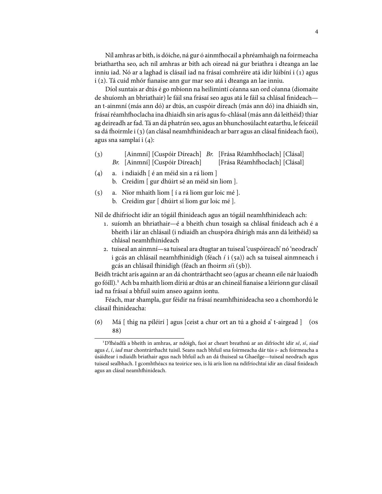Níl amhras ar bith, is dóiche, ná gur ó ainmfhocail a phréamhaigh na foirmeacha briathartha seo, ach níl amhras ar bith ach oiread ná gur briathra i dteanga an lae inniu iad. Nó ar a laghad is clásail iad na frásaí comhréire atá idir lúibíní i (1) agus i (2). Tá cuid mhór fianaise ann gur mar seo atá i dteanga an lae inniu.

Díol suntais ar dtús é go mbíonn na heilimintí céanna san ord céanna (diomaite de shuíomh an bhriathair) le fáil sna frásaí seo agus atá le fáil sa chlásal finideach an t-ainmní (más ann dó) ar dtús, an cuspóir díreach (más ann dó) ina dhiaidh sin, frásaí réamhfhoclacha ina dhiaidh sin arís agus fo-chlásal (más ann dá leithéid) thiar ag deireadh arfad. Tá an dá phatrún seo, agus an bhunchosúlacht eatarthu, le feiceáil sa dá fhoirmle i (3) (an clásal neamhfhinideach ar barr agus an clásal finideach faoi), agus sna samplaí i  $(4)$ :

- $\left( 3\right)$ Br. [Ainmní] [Cuspóir Díreach] [Ainmní] [Cuspóir Díreach] Br. [Frása Réamhfhoclach] [Clásal] [Frása Réamhfhoclach] [Clásal]
- $(4)$  a. i ndiaidh  $\lceil 6$  an méid sin a rá liom  $\rceil$ b. Creidim [ gur dhúirt sé an méid sin liom ].
- $(5)$  a. Níor mhaith liom  $\lceil$  *i* a rá liom gur loic mé  $\lceil$ . b. Creidim gur [ dhúirt sí liom gur loic mé ].

Níl de dhifríocht idir an tógáil fhinideach agus an tógáil neamhfhinideach ach:

- . suíomh an bhriathair—é a bheith chun tosaigh sa chlásal finideach ach é a bheith i lár an chlásail (i ndiaidh an chuspóra dhírigh más ann dá leithéid) sa chlásal neamhfhinideach
- . tuiseal an ainmní—sa tuiseal ara dtugtar an tuiseal 'cuspóireach' nó 'neodrach' i gcás an chlásail neamhfhinidigh (féach í i (5a)) ach sa tuiseal ainmneach i gcás an chlásail fhinidigh (féach an fhoirm síi (5b)).

Beidh trácht arís againn ar an dá chontrárthacht seo (agus ar cheann eile nár luaíodh go fóill). Ach ba mhaith liom díriú ar dtús ar an chineál fianaise a léiríonn gur clásail iad na frásaí a bhfuil suim anseo againn iontu.

Féach, mar shampla, gur féidir na frásaí neamhfhinideacha seo a chomhordú le clásail fhinideacha:

(6) Má  $\lceil$  thig na píléirí  $\rceil$  agus  $\lceil$  ceist a chur ort an tú a ghoid a' t-airgead  $\rceil$  (os 88)

<sup>&</sup>lt;sup>1</sup>D'fhéadfá a bheith in amhras, ar ndóigh, faoi ar cheart breathnú ar an difríocht idir sé, sí, siad agus é, í, iad mar chontrárthacht tuisil. Seans nach bhfuil sna foirmeacha dár tús s- ach foirmeacha a úsáidtear i ndiaidh briathair agus nach bhfuil ach an dá thuiseal sa Ghaeilge—tuiseal neodrach agus tuiseal sealbhach. I gcomhthéacs na teoirice seo, is lú arís líon na ndifríochtaí idir an clásal finideach agus an clásal neamhfhinideach.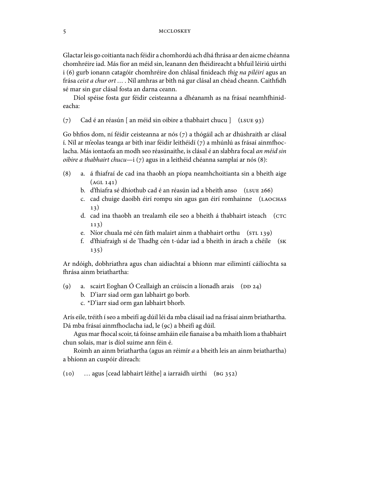#### 5 MCCLOSKEY

Glactar leis go coitianta nach féidir a chomhordú ach dhá fhrása ar den aicme chéanna chomhréire iad. Más fíor an méid sin, leanann den fhéidireacht a bhfuil léiriú uirthi i (6) gurb ionann catagóir chomhréire don chlásal finideach thig na píléirí agus an frása ceist a chur ort … . Níl amhras ar bith ná gur clásal an chéad cheann. Caithfidh sé mar sin gur clásal fosta an darna ceann.

Díol spéise fosta gur féidir ceisteanna a dhéanamh as na frásaí neamhfhinideacha:

(7) Cad é an réasún [ an méid sin oibire a thabhairt chucu ]  $(LSUE 93)$ 

Go bhfios dom, ní féidir ceisteanna ar nós (7) a thógáil ach ar dhúshraith ar clásal í. Níl ar m'eolas teanga ar bith inar féidir leithéidí (7) a mhúnlú as frásaí ainmfhoclacha. Más iontaofa an modh seo réasúnaithe, is clásal é an slabhra focal an méid sin oibire a thabhairt chucu—i  $(7)$  agus in a leithéid chéanna samplaí ar nós  $(8)$ :

- (8) a. á fhiafraí de cad ina thaobh an píopa neamhchoitianta sin a bheith aige  $(AGL 141)$ 
	- b. d'fhiafra sé dhíothub cad é an réasún iad a bheith anso (LSUE 266)
	- c. cad chuige daoibh éirí rompu sin agus gan éirí romhainne (  $13)$
	- d. cad ina thaobh an trealamh eile seo a bheith á thabhairt isteach (  $113)$
	- e. Níor chuala mé cén fáth malairt ainm a thabhairt orthu (STL 139)
	- f. d'fhiafraigh sí de Thadhg cén t-údar iad a bheith in árach a chéile (sĸ 135)

Ar ndóigh, dobhriathra agus chan aidiachtaí a bhíonn mar eilimintí cáilíochta sa -rása ainm briathartha:

- (9) a. scairt Eoghan Ó Ceallaigh an crúiscín a líonadh arais ( $D$   $D$   $24$ )
	- b. D'iarr siad orm gan labhairt go borb.
	- c. \*D'iarr siad orm gan labhairt bhorb.

Arís eile, tréith íseo a mbeifí ag dúil léi da mba clásail iad na frásaí ainm briathartha. Dá mba frásaí ainmfhoclacha iad, le (9c) a bheifí ag dúil.

Agus mar fhocal scoir, tá foinse amháin eile fianaise a ba mhaith liom a thabhairt chun solais, mar is díol suime ann féin é.

Roimh an ainm briathartha (agus an réimír a a bheith leis an ainm briathartha) a bhíonn an cuspóir díreach:

(10) … agus [cead labhairt léithe] a iarraidh uirthi (BG 352)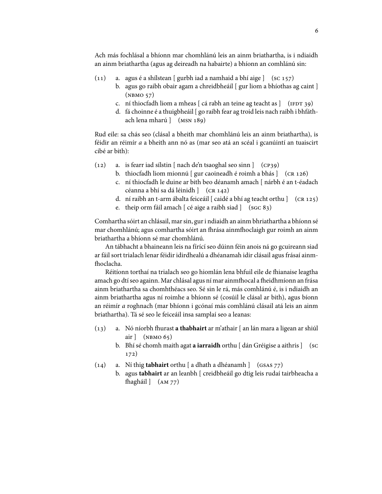Ach más fochlásal a bhíonn mar chomhlánú leis an ainm briathartha, is i ndiaidh an ainm briathartha (agus ag deireadh na habairte) a bhíonn an comhlánú sin:

- $(11)$  a. agus é a shílstean [ gurbh iad a namhaid a bhí aige ]  $($ sc 157 $)$ 
	- b. agus go raibh obair agam a chreidbheáil [ gur liom a bhíothas ag caint ]  $(NBMO 57)$
	- c. ní thiocfadh liom a mheas  $\lceil$  cá rabh an teine ag teacht as  $\lceil$  (IFDT 39)
	- d. fá choinne é a thuigbheáil [ go raibh fear ag troid leis nach raibh i bhfáthach lena mharú ] (MSN 189)

Rud eile: sa chás seo (clásal a bheith mar chomhlánú leis an ainm briathartha), is féidir an réimír a a bheith ann nó as (mar seo atá an scéal i gcanúintí an tuaiscirt cibé ar bith):

- $(12)$  a. is fearr iad sílstin [ nach de'n tsaoghal seo sinn ]  $(cpg)$ 
	- b. thiocfadh liom mionnú  $[$  gur caoineadh é roimh a bhás  $]$   $($ CR 126 $)$
	- c. ní thiocfadh le duine ar bith beo déanamh amach [ nárbh é an t-éadach céanna a bhí sa dá léinidh ] (CR 142)
	- d. ní raibh an t-arm ábalta feiceáil [ caidé a bhí ag teacht orthu ] (CR 125)
	- e. theip orm fáil amach  $\lceil$  cé aige a raibh siad  $\lceil$  (sGC 83)

Comhartha sóirt an chlásail, marsin, guri ndiaidh an ainm bhriathartha a bhíonn sé mar chomhlánú; agus comhartha sóirt an fhrása ainmfhoclaigh gur roimh an ainm briathartha a bhíonn sé mar chomhlánú.

An tábhacht a bhaineann leis na fírící seo dúinn féin anois ná go gcuireann siad ar fáil sort trialach lenar féidir idirdhealú a dhéanamah idir clásail agus frásaí ainm fhoclacha.

Réitíonn torthaí na trialach seo go hiomlán lena bhfuil eile de fhianaise leagtha amach go dtí seo againn. Mar chlásal agus ní mar ainmfhocal a fheidhmíonn an frása ainm briathartha sa chomhthéacs seo. Sé sin le rá, más comhlánú é, is i ndiaidh an ainm briathartha agus ní roimhe a bhíonn sé (cosúil le clásal ar bith), agus bíonn an réimír a roghnach (mar bhíonn i gcónaí más comhlánú clásail atá leis an ainm briathartha). Tá sé seo le feiceáil insa samplaí seo a leanas:

- (13) a. Nó níorbh fhurast **a thabhairt** ar m'athair [ an lán mara a ligean ar shiúl air  $\vert$  (NBMO 65)
	- b. Bhí sé chomh maith agat **a iarraidh** orthu [ dán Gréigise a aithris ] (  $172)$
- $(14)$  a. Ní thig **tabhairt** orthu [ a dhath a dhéanamh ]  $(SAS 77)$ 
	- b. agus **tabhairt** ar an leanbh [ creidbheáil go dtig leis rudaí tairbheacha a fhagháil ] (AM 77)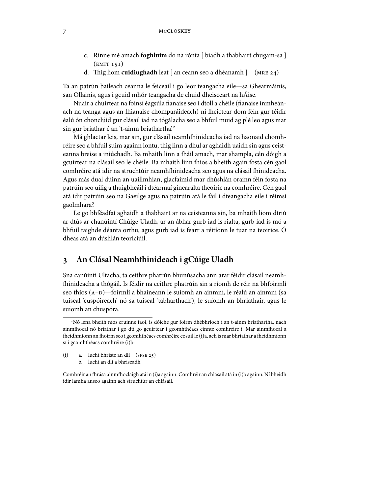#### 7 MCCLOSKEY

- c. Rinne mé amach **foghluim** do na rónta [ biadh a thabhairt chugam-sa ]  $(kMIT 151)$
- d. Thig liom **cuidiughadh** leat [an ceann seo a dhéanamh ] (MRE 24)

Tá an patrún baileach céanna le feiceáil i go leor teangacha eile—sa Ghearmáinis, san Ollainis, agus i gcuid mhór teangacha de chuid dheisceart na hÁise.

Nuair a chuirtear na foinsí éagsúla fianaise seo i dtoll a chéile (fianaise inmheánach na teanga agus an fhianaise chomparáideach) ní fheictear dom féin gur féidir éalú ón chonclúid gur clásail iad na tógálacha seo a bhfuil muid ag plé leo agus mar sin gur briathar é an 't-ainm briathartha<sup>'.2</sup>

Má ghlactar leis, mar sin, gur clásail neamhfhinideacha iad na haonaid chomhréire seo a bhfuil suim againn iontu, thig linn a dhul ar aghaidh uaidh sin agus ceisteanna breise a iniúchadh. Ba mhaith linn a fháil amach, mar shampla, cén dóigh a gcuirtear na clásail seo le chéile. Ba mhaith linn fhios a bheith again fosta cén gaol comhréire atá idir na struchtúir neamhfhinideacha seo agus na clásail fhinideacha. Agus más dual dúinn an uaillmhian, glacfaimid mar dhúshlán orainn féin fosta na patrúin seo uilig a thuigbheáil i dtéarmaí ginearálta theoiric na comhréire. Cén gaol atá idir patrúin seo na Gaeilge agus na patrúin atá le fáil i dteangacha eile i réimsí gaolmhara?

Le go bhféadfaí aghaidh a thabhairt ar na ceisteanna sin, ba mhaith liom díriú ar dtús ar chanúintí Chúige Uladh, ar an ábhar gurb iad is rialta, gurb iad is mó a bhfuil taighde déanta orthu, agus gurb iad is fearr a réitíonn le tuar na teoirice. Ó dheas atá an dúshlán teoriciúil.

# **An Clásal Neamh-inideach i gCúige Uladh**

Sna canúintí Ultacha, tá ceithre phatrún bhunúsacha ann arar féidir clásail neamh- -inideacha a thógáil. Is féidir na ceithre phatrúin sin a ríomh de réir na bhfoirmlí seo thíos (A-D)—foirmlí a bhaineann le suíomh an ainmní, le réalú an ainmní (sa tuiseal 'cuspóireach' nó sa tuiseal 'tabharthach'), le suíomh an bhriathair, agus le suíomh an chuspóra.

(i) a. lucht bhriste an dlí  $(sFSE 25)$ 

b. lucht an dlí a bhriseadh

Nó lena bheith níos cruinne faoi, is dóiche gur foirm dhébhríoch í an t-ainm briathartha, nach ainmfhocal nó briathar í go dtí go gcuirtear i gcomhthéacs cinnte comhréire í. Mar ainmfhocal a fheidhmíonn an fhoirm seo i gcomhthéacs comhréire cosúil le (i)a, ach is mar bhriathar a fheidhmíonn sí i gcomhthéacs comhréire (i)b:

Comhréir an fhrása ainmfhoclaigh atá in (i)a againn. Comhréir an chlásail atá in (i)b againn. Ní bheidh idir lámha anseo againn ach struchtúr an chlásail.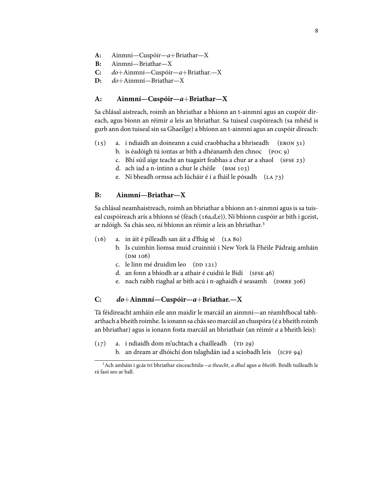- **A:** Ainmní—Cuspóir—a+Briathar—X
- **B:** Ainmní—Briathar—X
- **C:** do+Ainmní—Cuspóir—a+Briathar.—X
- **D:** do+Ainmní—Briathar—X

## **A: Ainmní—Cuspóir—a**+**Briathar—X**

Sa chlásal aistreach, roimh an bhriathar a bhíonn an t-ainmní agus an cuspóir díreach, agus bíonn an réimír a leis an bhriathar. Sa tuiseal cuspóireach (sa mhéid is gurb ann don tuiseal sin sa Ghaeilge) a bhíonn an t-ainmní agus an cuspóir díreach:

- $(15)$  a. i ndiaidh an doineann a cuid craobhacha a bhriseadh (ERON 31)
	- b. is éadóigh tú iontas ar bith a dhéanamh den chnoc  $(poc, q)$
	- c. Bhí súil aige teacht an tsagairt feabhas a chur ar a shaol ( $s$ FSE 23)
	- d. ach iad a n-intinn a chur le chéile  $(s<sub>SM 103</sub>)$
	- e. Ní bheadh ormsa ach lúcháir é í a fháil le pósadh (LA 73)

## **B: Ainmní—Briathar—X**

Sa chlásal neamhaistreach, roimh an bhriathar a bhíonn an t-ainmní agus is sa tuiseal cuspóireach arís a bhíonn sé (féach (16a,d,e)). Ní bhíonn cuspóir ar bith i gceist, ar ndóigh. Sa chás seo, ní bhíonn an réimír *a* leis an bhriathar.<sup>3</sup>

- $(16)$  a. in áit é pilleadh san áit a d'fhág sé  $(LA 80)$ 
	- b. Is cuimhin liomsa muid cruinniú i New York lá Fhéile Pádraig amháin  $(DM 106)$
	- c. le linn mé druidim leo (DD 121)
	- d. an fonn a bhíodh ar a athair é cuidiú le Bidí (SFSE 46)
	- e. nach raibh riaghal ar bith acú i n-aghaidh é seasamh (DMRE 306)

#### **C: do**+**Ainmní—Cuspóir—a**+**Briathar.—X**

Tá féidireacht amháin eile ann maidir le marcáil an ainmní—an réamhfhocal tabharthach a bheith roimhe.Isionann sa chásseo marcáil an chuspóra (é a bheith roimh an bhriathar) agus is ionann fosta marcáil an bhriathair (an réimír a a bheith leis):

- $(17)$  a. i ndiaidh dom m'uchtach a chailleadh (TD 29)
	- b. an dream ar dhóichí don tslaghdán iad a sciobadh leis (ICFF 94)

<sup>&</sup>lt;sup>3</sup> Ach amháin i gcás trí bhriathar eisceachtúla—a theacht, a dhul agus a bheith. Beidh tuilleadh le rá faoi seo ar ball.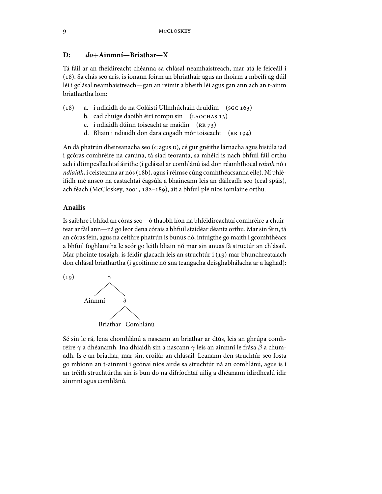#### **D: do**+**Ainmní—Briathar—X**

Tá fáil ar an fhéidireacht chéanna sa chlásal neamhaistreach, mar atá le feiceáil i (18). Sa chás seo arís, is ionann foirm an bhriathair agus an fhoirm a mbeifí ag dúil léi i gclásal neamhaistreach—gan an réimír a bheith léi agus gan ann ach an t-ainm briathartha lom:

- $(18)$  a. i ndiaidh do na Coláistí Ullmhúcháin druidim  $($ s $G$ c $163)$ 
	- b. cad chuige daoibh éirí rompu sin (LAOCHAS 13)
	- c. i ndiaidh dúinn toiseacht ar maidin  $(RR 73)$
	- d. Bliain i ndiaidh don dara cogadh mór toiseacht (RR 194)

An dá phatrún dheireanacha seo (c agus D), cé gur gnéithe lárnacha agus bisiúla iad i gcóras comhréire na canúna, tá siad teoranta, sa mhéid is nach bhfuil fáil orthu ach i dtimpeallachtaí áirithe (i gclásail ar comhlánú iad don réamhfhocal *roimh* nó *i* ndiaidh, i ceisteanna ar nós (18b), agus i réimse cúng comhthéacsanna eile). Ní phléifidh mé anseo na castachtaí éagsúla a bhaineann leis an dáileadh seo (ceal spáis), ach féach (McCloskey, 2001, 182-189), áit a bhfuil plé níos iomláine orthu.

## **Anailís**

Is saibhre i bhfad an córas seo—ó thaobh líon na bhféidireachtaí comhréire a chuirtear ar fáil ann—ná go leor dena córais a bhfuil staidéar déanta orthu. Mar sin féin, tá an córasféin, agus na ceithre phatrún is bunús dó, intuigthe go maith i gcomhthéacs a bhfuil foghlamtha le scór go leith bliain nó mar sin anuas fá structúr an chlásail. Mar phointe tosaigh, is féidir glacadh leis an struchtúr i (19) mar bhunchreatalach don chlásal briathartha (i gcoitinne nó sna teangacha deisghabhálacha ar a laghad):



Sé sin le rá, lena chomhlánú a nascann an briathar ar dtús, leis an ghrúpa comhréire  $\gamma$  a dhéanamh. Ina dhiaidh sin a nascann  $\gamma$  leis an ainmní le frása  $\beta$  a chumadh. Is é an briathar, mar sin, croílár an chlásail. Leanann den struchtúr seo fosta go mbíonn an t-ainmní i gcónaí níos airde sa struchtúr ná an comhlánú, agus is í an tréith struchtúrtha sin is bun do na difríochtaí uilig a dhéanann idirdhealú idir ainmní agus comhlánú.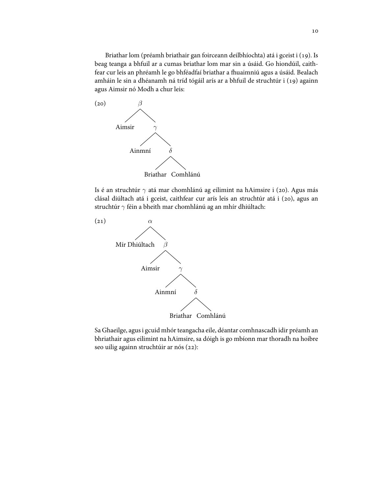Briathar lom (préamh briathair gan foirceann deilbhíochta) atá i gceist i (19). Is beag teanga a bhfuil ar a cumas briathar lom mar sin a úsáid. Go hiondúil, caithfear cur leis an phréamh le go bhféadfaí briathar a fhuaimniú agus a úsáid. Bealach amháin le sin a dhéanamh ná tríd tógáil arís ar a bhfuil de struchtúr i (19) againn agus Aimsir nó Modh a chur leis:



Is é an struchtúr  $\gamma$  atá mar chomhlánú ag eilimint na hAimsire i (20). Agus más clásal diúltach atá i gceist, caithfear cur arís leis an struchtúr atá i (20), agus an struchtúr  $\gamma$  féin a bheith mar chomhlánú ag an mhír dhiúltach:



Sa Ghaeilge, agus i gcuid mhór teangacha eile, déantar comhnascadh idir préamh an bhriathair agus eilimint na hAimsire, sa dóigh is go mbíonn mar thoradh na hoibre seo uilig againn struchtúir ar nós (22):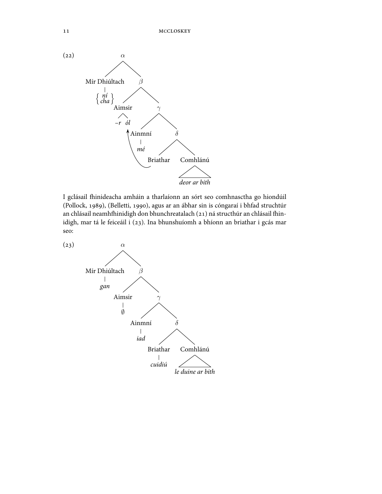

I gclásail fhinideacha amháin a tharlaíonn an sórt seo comhnasctha go hiondúil (Pollock, 1989), (Belletti, 1990), agus ar an ábhar sin is cóngaraí i bhfad struchtúr an chlásail neamhfhinidigh don bhunchreatalach (21) ná structhúr an chlásail fhinidigh, mar tá le feiceáil i (23). Ina bhunshuíomh a bhíonn an briathar i gcás mar seo:

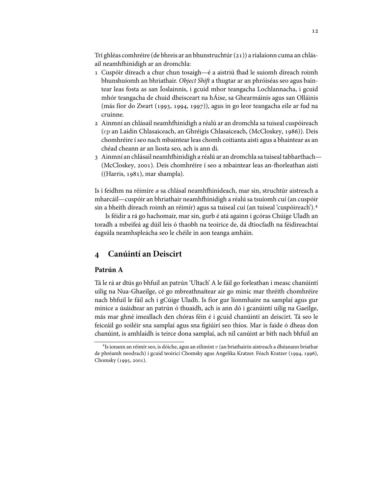Trí ghléas comhréire (de bhreis ar an bhunstruchtúr()) a rialaíonn cuma an chlásail neamhfhinidigh ar an dromchla:

- 1 Cuspóir díreach a chur chun tosaigh—é a aistriú fhad le suiomh díreach roimh bhunshuíomh an bhriathair. Object Shift a thugtar ar an phróiséas seo agus baintear leas fosta as san Íoslainnis, i gcuid mhor teangacha Lochlannacha, i gcuid mhór teangacha de chuid dheisceart na hÁise, sa Ghearmáinis agus san Olláinis (más fíor do Zwart (1993, 1994, 1997)), agus in go leor teangacha eile ar fud na cruinne.
- 2 Ainmní an chlásail neamhfhinidigh a réalú ar an dromchla sa tuiseal cuspóireach (cp an Laidin Chlasaiceach, an Ghréigis Chlasaiceach, (McCloskey, 1986)). Deis chomhréire í seo nach mbaintear leas chomh coitianta aisti agus a bhaintear as an chéad cheann ar an liosta seo, ach is ann di.
- 3 Ainmní an chlásail neamhfhinidigh a réalú ar an dromchla sa tuiseal tabharthach— (McCloskey, 2001). Deis chomhréire í seo a mbaintear leas an-fhorleathan aisti  $((Harris, 1981), mar shampla).$

Is í feidhm na réimíre *a* sa chlásal neamhfhinideach, mar sin, struchtúr aistreach a mharcáil—cuspóir an bhriathair neamhfhinidigh a réalú sa tsuíomh cuí (an cuspóir sin a bheith díreach roimh an réimír) agus sa tuiseal cuí (an tuiseal 'cuspóireach').

Is féidir a rá go hachomair, mar sin, gurb é atá againn i gcóras Chúige Uladh an toradh a mbeifeá ag dúil leis ó thaobh na teoirice de, dá dtiocfadh na féidireachtaí éagsúla neamhspleácha seo le chéile in aon teanga amháin.

# **Canúintí an Deiscirt**

#### **Patrún A**

Tá le rá ar dtús go bhfuil an patrún 'Ultach' A le fáil go forleathan i measc chanúintí uilig na Nua-Ghaeilge, cé go mbreathnaítear air go minic mar thréith chomhréire nach bhfuil le fáil ach i gCúige Uladh. Is fíor gur líonmhaire na samplaí agus gur minice a úsáidtear an patrún ó thuaidh, ach is ann dó i gcanúintí uilig na Gaeilge, más mar ghné imeallach den chóras féin é i gcuid chanúintí an deiscirt. Tá seo le feiceáil go soiléir sna samplaí agus sna figiúirí seo thíos. Mar is faide ó dheas don chanúint, is amhlaidh is teirce dona samplaí, ach níl canúint ar bith nach bhfuil an

<sup>&</sup>lt;sup>4</sup>Is ionann an réimír seo, is dóiche, agus an eilimint  $v$  (an briathairín aistreach a dhéanann briathar de phréamh neodrach) i gcuid teoiricí Chomsky agus Angelika Kratzer. Féach Kratzer (1994, 1996), Chomsky (1995, 2001).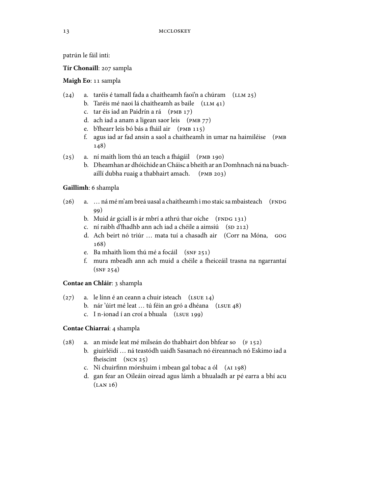patrún le fáil inti:

Tír Chonaill: 207 sampla

**Maigh Eo**: 11 sampla

- (24) a. taréis é tamall fada a chaitheamh faoi'n a chúram  $(LLM 25)$ 
	- b. Taréis mé naoi lá chaitheamh as baile  $(LLM 41)$
	- c. tar éis iad an Paidrín a rá (PMB 17)
	- d. ach iad a anam a ligean saor leis  $(pMB 77)$
	- e. b'fhearr leis bó bás a fháil air (PMB 115)
	- f. agus iad ar fad ansin a saol a chaitheamh in umar na haimiléise ( 148)
- (25) a. ní maith liom thú an teach a fhágáil (PMB 190)
	- b. Dheamhan ar dhóichide anCháisc a bheith ar an Domhnach ná na buachaillí dubha ruaig a thabhairt amach. (PMB 203)

#### **Gaillimh**: 6 shampla

- (26) a. … ná mé m'am breá uasal a chaitheamh i mo staic sa mbaisteach (FNDG (99)
	- b. Muid ár gciall is ár mbrí a athrú thar oíche  $( FNOG 131)$
	- c. ní raibh d'fhadhb ann ach iad a chéile a aimsiú (SD 212)
	- d. Ach beirt nó triúr … mata tuí a chasadh air (Corr na Móna,  $168)$
	- e. Ba mhaith liom thú mé a focáil  $(SNF 251)$
	- f. mura mbeadh ann ach muid a chéile a fheiceáil trasna na ngarrantaí  $(SNF 254)$

## **Contae an Chláir**: 3 shampla

- $(27)$  a. le línn é an ceann a chuir isteach  $(LSUE 14)$ 
	- b. nár 'úirt mé leat ... tú féin an gró a dhéana (LSUE 48)
	- c. I n-ionad í an croí a bhuala  $(LSUE 199)$

## **Contae Chiarraí**: 4 shampla

- (28) a. an misde leat mé milseán do thabhairt don bhfear so  $(F 152)$ 
	- b. giuirléidí … ná teastódh uaidh Sasanach nó éireannach nó Eskimo iad a fheiscint (NCN 25)
	- c. Ní chuirfinn mórshuim i mbean gal tobac a ól (AI 198)
	- d. gan fear an Oileáin oiread agus lámh a bhualadh ar pé earra a bhí acu  $(LAN 16)$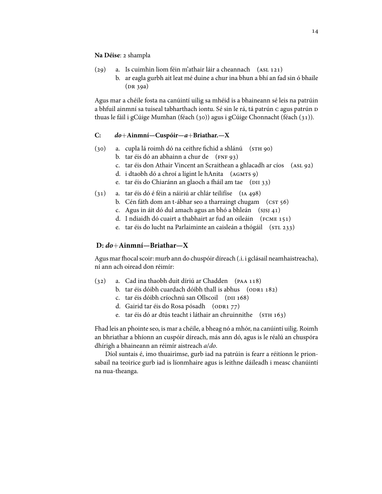**Na** Déise: 2 shampla

- $(29)$  a. Is cuimhin liom féin m'athair láir a cheannach  $(ASL 121)$ 
	- b. ar eagla gurbh ait leat mé duine a chur ina bhun a bhí an fad sin ó bhaile  $(DR 39a)$

Agus mar a chéile fosta na canúintí uilig sa mhéid is a bhaineann sé leis na patrúin a bhfuil ainmní sa tuiseal tabharthach iontu. Sé sin le rá, tá patrún c agus patrún D thuas le fáil i gCúige Mumhan (féach (30)) agus i gCúige Chonnacht (féach (31)).

#### **C: do**+**Ainmní—Cuspóir—a**+**Briathar.—X**

- (30) a. cupla lá roimh dó na ceithre fichid a shlánú (STH 90)
	- b. tar éis dó an abhainn a chur de  $(rNF 93)$
	- c. tar éis don Athair Vincent an Scraithean a ghlacadh ar cíos (ASL 92)
	- d. i dtaobh dó a chroí a ligint le hAnita (AGMTS 9)
	- e. tar éis do Chiaránn an glaoch a fháil am tae (DII 33)
- $(31)$  a. tar éis dó é féin a náiriú ar chlár teilifíse  $(1A\ 498)$ 
	- b. Cén fáth dom an t-ábhar seo a tharraingt chugam  $(\text{cST } 56)$
	- c. Agus in áit dó dul amach agus an bhó a bhleán  $(s)$ s  $(4)$
	- d. I ndiaidh dó cuairt a thabhairt ar fud an oileáin (FCME 151)
	- e. tar éis do lucht na Parlaiminte an caisleán a thógáil (STL 233)

#### **D: do**+**Ainmní—Briathar—X**

Agus mar fhocal scoir: murb ann do chuspóir díreach (.i. i gclásail neamhaistreacha), ní ann ach oiread don réimír:

- $(32)$  a. Cad ina thaobh duit díriú ar Chadden ( $PAA 118$ )
	- b. tar éis dóibh cuardach dóibh thall is abhus  $(OPR1 182)$
	- c. tar éis dóibh críochnú san Ollscoil (DII 168)
	- d. Gairid tar éis do Rosa pósadh (ODR1 77)
	- e. tar éis dó ar dtús teacht i láthair an chruinnithe (STH 163)

Fhad leis an phointe seo, is mar a chéile, a bheag nó a mhór, na canúintí uilig. Roimh an bhriathar a bhíonn an cuspóir díreach, más ann dó, agus is le réalú an chuspóra dhírigh a bhaineann an réimír aistreach a/do.

Díol suntais é, imo thuairimse, gurb iad na patrúin is fearr a réitíonn le prionsabail na teoirice gurb iad is líonmhaire agus is leithne dáileadh i measc chanúintí na nua-theanga.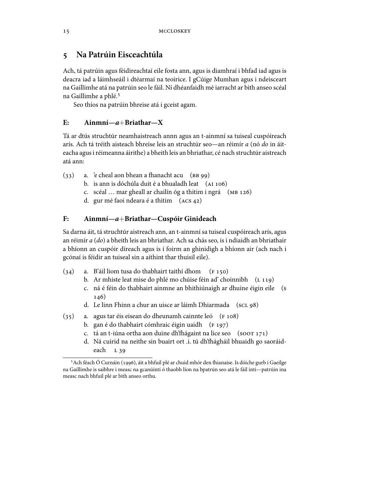# **Na Patrúin Eisceachtúla**

Ach, tá patrúin agus féidireachtaí eile fosta ann, agus is diamhraí i bhfad iad agus is deacra iad a láimhseáil i dtéarmaí na teoirice. I gCúige Mumhan agus i ndeisceart na Gaillimhe atá na patrúin seo le fáil. Ní dhéanfaidh mé iarracht ar bith anseo scéal na Gaillimhe a phlé.

Seo thíos na patrúin bhreise atá i gceist agam.

#### **E: Ainmní—a**+**Briathar—X**

Tá ar dtús struchtúr neamhaistreach annn agus an t-ainmní sa tuiseal cuspóireach arís. Ach tá tréith aisteach bhreise leis an struchtúr seo—an réimír a (nó do in áiteacha agusiréimeanna áirithe) a bheith leis an bhriathar, cé nach struchtúr aistreach atá ann:

- $(33)$  a. 'e cheal aon bhean a fhanacht acu  $(BB99)$ 
	- b. is ann is dóchúla duit é a bhualadh leat  $(AI106)$
	- c. scéal ... mar gheall ar chailín óg a thitim i ngrá  $(MB 126)$
	- d. gur mé faoi ndeara é a thitim  $(ACS<sub>42</sub>)$

#### **F: Ainmní—a**+**Briathar—Cuspóir Ginideach**

Sa darna áit, tá struchtúr aistreach ann, an t-ainmní sa tuiseal cuspóireach arís, agus an réimír a (do) a bheith leis an bhriathar. Ach sa chás seo, is i ndiaidh an bhriathair a bhíonn an cuspóir díreach agus is í foirm an ghinidigh a bhíonn air (ach nach i gcónaí is féidir an tuiseal sin a aithint thar thuisil eile).

- $(34)$  a. B'áil liom tusa do thabhairt taithí dhom  $(F 150)$ 
	- b. Ar mhiste leat mise do phlé mo chúise féin ad' choinnibh (L 119)
	- c. ná é féin do thabhairt ainmne an bhithiúnaigh ar dhuine éigin eile ( 146)
	- d. Le linn Fhinn a chur an uisce ar láimh Dhiarmada ( scL 98)
- $(35)$  a. agus tar éis eisean do dheunamh cainnte leó  $(F 108)$ 
	- b. gan é do thabhairt cómhraic éigin uaidh (F 197)
	- c. tá an t-iúna ortha aon duine dh'fhágaint na lice seo (soor 171)
	- d. Ná cuirid na neithe sin buairt ort .i. tú dh'fhágháil bhuaidh go saoráideach L<sub>39</sub>

<sup>&</sup>lt;sup>5</sup> Ach féach Ó Curnáin (1996), áit a bhfuil plé ar chuid mhór den fhianaise. Is dóiche gurb í Gaeilge na Gaillimhe is saibhre i measc na gcanúintí ó thaobh líon na bpatrún seo atá le fáil inti—patrúin ina measc nach bhfuil plé ar bith anseo orthu.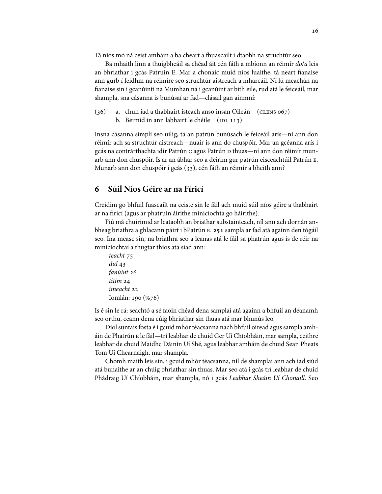Tá níos mó ná ceist amháin a ba cheart a fhuascailt i dtaobh na struchtúr seo.

Ba mhaith linn a thuigbheáil sa chéad áit cén fáth a mbíonn an réimír do/a leis an bhriathar i gcás Patrúin E. Mar a chonaic muid níos luaithe, tá neart fianaise ann gurb í feidhm na réimíre seo struchtúr aistreach a mharcáil. Ní lú meachán na fianaise sin i gcanúintí na Mumhan ná i gcanúint ar bith eile, rud atá le feiceáil, mar shampla, sna cásanna is bunúsaí ar fad—clásail gan ainmní:

```
(36) a. chun iad a thabhairt isteach anso insan Oileán (CLENS 067)b. Beimid in ann labhairt le chéile (DL_113)
```
Insna cásanna simplí seo uilig, tá an patrún bunúsach le feiceáil arís—ní ann don réimír ach sa struchtúr aistreach—nuair is ann do chuspóir. Mar an gcéanna arís i gcás na contrárthachta idir Patrún c agus Patrún D thuas—ní ann don réimír munarb ann don chuspóir. Is ar an ábhar seo a deirim gur patrún eisceachtúil Patrún . Munarb ann don chuspóir i gcás (33), cén fáth an réimír a bheith ann?

# **Súil Níos Géire ar na Fíricí**

Creidim go bhfuil fuascailt na ceiste sin le fáil ach muid súil níos géire a thabhairt ar na fíricí (agus ar phatrúin áirithe minicíochta go háirithe).

Fiú má chuirimid ar leataobh an briathar substainteach, níl ann ach dornán anbheag briathra a ghlacann páirt i bPatrún E. 251 sampla ar fad atá againn den tógáil seo. Ina measc sin, na briathra seo a leanas atá le fáil sa phatrún agus is de réir na minicíochtaí a thugtar thíos atá siad ann:

```
teacht 75
dul 
fanúint 26
titim 24
imeacht 
Iomlán: 190 (%76)
```
Is é sin le rá: seachtó a sé faoin chéad dena samplaí atá againn a bhfuil an déanamh seo orthu, ceann dena cúig bhriathar sin thuas atá mar bhunús leo.

Díol suntais fosta é i gcuid mhór téacsanna nach bhfuil oiread agus sampla amháin de Phatrún E le fáil—trí leabhar de chuid Ger Uí Chíobháin, mar sampla, ceithre leabhar de chuid Maidhc Dáinín Uí Shé, agus leabhar amháin de chuid Sean Pheats Tom Uí Chearnaigh, mar shampla.

Chomh maith leis sin, i gcuid mhór téacsanna, níl de shamplaí ann ach iad siúd atá bunaithe ar an chúig bhriathar sin thuas. Mar seo atá i gcás trí leabhar de chuid Phádraig Uí Chíobháin, mar shampla, nó i gcás Leabhar Sheáin Uí Chonaill. Seo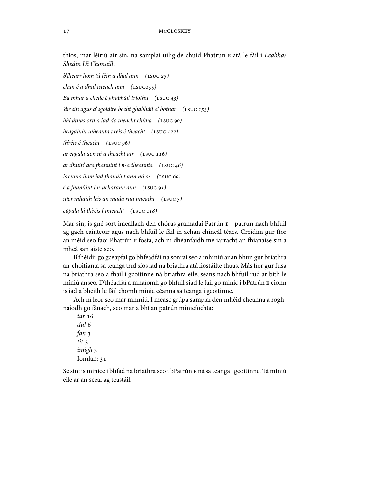thíos, mar léiriú air sin, na samplaí uilig de chuid Phatrún E atá le fáil i Leabhar Sheáin Uí Chonaill.

b'fhearr liom tú féin a dhul ann (<code>LSUC 23</code>)  $chun \text{\'e} a dhul isteach ann (LSUC035)$ Ba mhar a chéile é ghabháil tríothu  $(\text{LSUC }43)$ 'dir sin agus a' sgoláire bocht ghabháil a' bóthar (LSUC 153) bhí áthas ortha iad do theacht chúha (LSUC 90) beagáinín uíheanta t'réis é theacht (LSUC 177) th'réis é theacht (LSUC 96) ar eagala aon ní a theacht air  $($ LSUC 116 $)$ ar dhuin' aca fhanúint i n-a theannta (LSUC 46) is cuma liom iad fhanúint ann nó as (LSUC 60) é a fhanúint i n-acharann ann (<code>LSUC 91</code>) níor mhaith leis an mada rua imeacht  $(\text{LSUC } 3)$ 

cúpala lá th'réis í imeacht (LSUC 118)

Mar sin, is gné sort imeallach den chóras gramadaí Patrún E-patrún nach bhfuil ag gach cainteoir agus nach bhfuil le fáil in achan chineál téacs. Creidim gur fíor an méid seo faoi Phatrún F fosta, ach ní dhéanfaidh mé iarracht an fhianaise sin a mheá san aiste seo.

B'fhéidir go gceapfaí go bhféadfái na sonraí seo a mhíniú ar an bhun gur briathra an-choitianta sa teanga tríd síos iad na briathra atá liostáilte thuas. Más fíor gur fusa na briathra seo a fháil i gcoitinne ná briathra eile, seans nach bhfuil rud ar bith le míniú anseo. D'fhéadfaí a mhaíomh go bhfuil siad le fáil go minic i bPatrún E cionn is iad a bheith le fáil chomh minic céanna sa teanga i gcoitinne.

Ach ní leor seo mar mhíniú. I measc grúpa samplaí den mhéid chéanna a roghnaíodh go fánach, seo mar a bhí an patrún minicíochta:

tar 16 dul fan tit 3 imigh 3 Iomlán:

Sé sin: is minice i bhfad na briathra seo i bPatrún E ná sa teanga i gcoitinne. Tá míniú eile ar an scéal ag teastáil.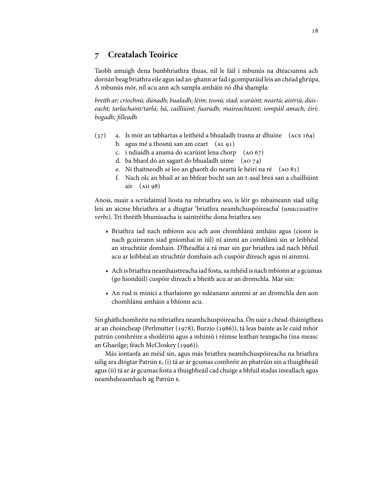# **Creatalach Teoirice**

Taobh amuigh dena bunbhriathra thuas, níl le fáil i mbunús na dtéacsanna ach dornán beag briathra eile agusiad an-ghann arfad i gcomparáid leis an chéad ghrúpa. A mbunús mór, níl acu ann ach sampla amháin nó dhá shampla:

breith ar;críochnú; dúnadh; bualadh; léim; tosnú; stad; scarúint; neartú; aistriú; dúiseacht; tarlachaint/tarlú; bá, cailliúint; fuaradh; maireachtaint; iompáil amach, éirí; bogadh; filleadh

- $(37)$  a. Is mór an tabhartas a leithéid a bhualadh trasna ar dhuine  $(ACS 164)$ b. agus mé a thosnú san am ceart  $(AL 91)$ 
	- c. i ndiaidh a anama do scarúint lena chorp  $(AO 67)$
	- d. ba bhaol dó an sagart do bhualadh uime  $(AO74)$
	- e. Ní thaitneodh sé leo an ghaoth do neartú le héirí na ré  $(AO 81)$
	- f. Nach olc an bhail ar an bhfear bocht san an t-asal breá san a chailliúint air  $(AII 98)$

Anois, nuair a scrúdaímid liosta na mbriathra seo, is léir go mbaineann siad uilig leis an aicme bhriathra ar a dtugtar 'briathra neamhchuspóireacha' (unaccusative verbs). Trí thréith bhunúsacha is saintréithe dona briathra seo

- Briathra iad nach mbíonn acu ach aon chomhlánú amháin agus (cionn is nach gcuireann siad gníomhaí in iúl) ní ainmí an comhlánú sin ar leibhéal an struchtúir domhain. D'fhéadfaí a rá mar sin gur briathra iad nach bhfuil acu ar leibhéal an struchtúr domhain ach cuspóir díreach agus ní ainmní.
- Ach is briathra neamhaistreacha iad fosta, sa mhéid is nach mbíonn ar a gcumas (go hiondúil) cuspóir díreach a bheith acu ar an dromchla. Mar sin:
- An rud is minicí a tharlaíonn go ndéanann ainmní ar an dromchla den aon chomhlánú amháin a bhíonn acu.

Sin gháthchomhréir na mbriathra neamhchuspóireacha. Ón uair a chéad-tháinigtheas ar an choincheap (Perlmutter (1978), Burzio (1986)), tá leas bainte as le cuid mhór patrún comhréire a shoiléiriú agus a mhíniú i réimse leathan teangacha (ina measc an Ghaeilge; féach McCloskey (1996)).

Más iontaofa an méid sin, agus más briathra neamhchuspóireacha na briathra uilig ara dtógtar Patrún E, (i) tá ar ár gcumas comhréir an phatrúin sin a thuigbheáil agus (ii) tá ar ár gcumas fosta a thuigbheáil cad chuige a bhfuil stadas imeallach agus neamhsheasmhach ag Patrún E.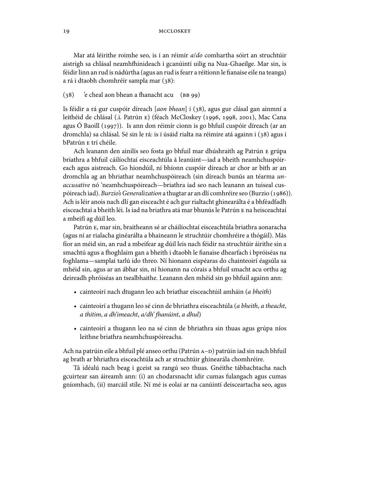Mar atá léirithe roimhe seo, is í an réimír a/do comhartha sóirt an struchtúir aistrigh sa chlásal neamhfhinideach i gcanúintí uilig na Nua-Ghaeilge. Mar sin, is féidir linn an rud is nádúrtha (agus an rud is fearr a réitíonn le fianaise eile na teanga) a rá i dtaobh chomhréir sampla mar (38):

#### (38) 'e cheal aon bhean a fhanacht acu (BB 99)

Is féidir a rá gur cuspóir díreach  $[a \circ n \circ b \circ n]$  i (38), agus gur clásal gan ainmní a leithéid de chlásal (.i. Patrún E) (féach McCloskey (1996, 1998, 2001), Mac Cana agus Ó Baoill (1997)). Is ann don réimír cionn is go bhfuil cuspóir díreach (ar an dromchla) sa chlásal. Sé sin le rá: is í úsáid rialta na réimire atá againn i (38) agus i bPatrún E trí chéile.

Ach leanann den ainilís seo fosta go bhfuil mar dhúshraith ag Patrún E grúpa briathra a bhfuil cáilíochtaí eisceachtúla á leanúint—iad a bheith neamhchuspóireach agus aistreach. Go hiondúil, ní bhíonn cuspóir díreach ar chor ar bith ar an dromchla ag an bhriathar neamhchuspóireach (sin díreach bunús an téarma unaccusative nó 'neamhchuspóireach—briathra iad seo nach leanann an tuiseal cuspóireach iad). Burzio's Generalization a thugtar ar an dlí comhréire seo (Burzio (1986)). Ach is léir anois nach dlí gan eisceacht é ach gur rialtacht ghinearálta é a bhféadfadh eisceachtaí a bheith léi. Is iad na briathra atá mar bhunús le Patrún E na heisceachtaí a mbeifí ag dúil leo.

Patrún E, mar sin, braitheann sé ar cháilíochtaí eisceachtúla briathra aonaracha (agus ní ar rialacha ginéarálta a bhaineann le struchtúir chomhréire a thógáil). Más fíor an méid sin, an rud a mbeifear ag dúil leis nach féidir na struchtúir áirithe sin a smachtú agus a fhoghlaim gan a bheith i dtaobh le fianaise dhearfach i bpróiséas na foghlama—samplaí tarlú ido threo. Ní hionann eispéaras do chainteoirí éagsúla sa mhéid sin, agus ar an ábhar sin, ní hionann na córais a bhfuil smacht acu orthu ag deireadh phróiséas an tsealbhaithe. Leanann den mhéid sin go bhfuil againn ann:

- cainteoirí nach dtugann leo ach briathar eisceachtúil amháin (a bheith)
- cainteoirí a thugann leo sé cinn de bhriathra eisceachtúla (a bheith, a theacht, a thitim, a dh'imeacht, a/dh' fhanúint, a dhul)
- cainteoirí a thugann leo na sé cinn de bhriathra sin thuas agus grúpa níos leithne briathra neamhchuspóireacha.

Ach na patrúin eile a bhfuil plé anseo orthu (Patrún A-D) patrúin iad sin nach bhfuil ag brath ar bhriathra eisceachtúla ach ar struchtúir ghinearála chomhréire.

Tá idéalú nach beag i gceist sa rangú seo thuas. Gnéithe tábhachtacha nach gcuirtear san áireamh ann: (i) an chodarsnacht idir cumas fulangach agus cumas gníomhach, (ii) marcáil stíle. Ní mé is eolaí ar na canúintí deisceartacha seo, agus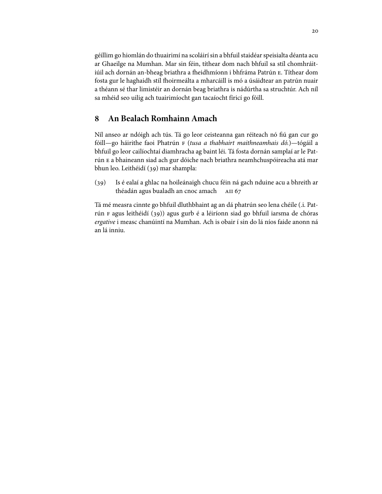géillim go hiomlán do thuairimí na scoláirí sin a bhfuil staidéar speisialta déanta acu ar Ghaeilge na Mumhan. Mar sin féin, títhear dom nach bhfuil sa stíl chomhráitiúil ach dornán an-bheag briathra a fheidhmíonn i bhfráma Patrún E. Títhear dom fosta gur le haghaidh stíl fhoirmeálta a mharcáill is mó a úsáidtear an patrún nuair a théann sé thar limistéir an dornán beag briathra is nádúrtha sa struchtúr. Ach níl sa mhéid seo uilig ach tuairimíocht gan tacaíocht fíricí go fóill.

# **An Bealach Romhainn Amach**

Níl anseo ar ndóigh ach tús. Tá go leor ceisteanna gan réiteach nó fiú gan cur go fóill—go háirithe faoi Phatrún (tusa a thabhairt maithneamhais dó.)—tógáil a bhfuil go leor cailíochtaí diamhracha ag baint léi. Tá fosta dornán samplaí ar le Patrún E a bhaineann siad ach gur dóiche nach briathra neamhchuspóireacha atá mar bhun leo. Leithéidí (39) mar shampla:

(39) Is é ealaí a ghlac na hoileánaigh chucu féin ná gach nduine acu a bhreith ar théadán agus bualadh an cnoc amach

Tá mé measra cinnte go bhfuil dluthbhaint ag an dá phatrún seo lena chéile (.i. Patrún F agus leithéidí (39)) agus gurb é a léiríonn siad go bhfuil iarsma de chóras ergative i measc chanúintí na Mumhan. Ach is obair í sin do lá níos faide anonn ná an lá inniu.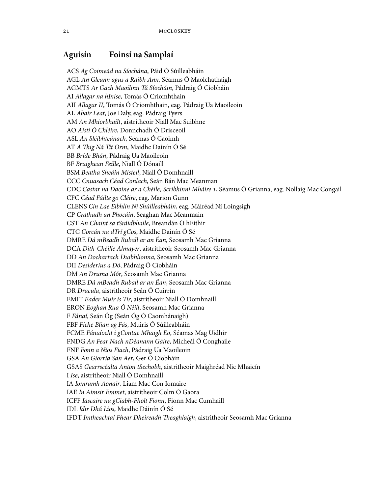# **Aguisín Foinsí na Samplaí**

ACS Ag Coimeád na Síochána, Páid Ó Súilleabháin AGL An Gleann agus a Raibh Ann, Séamus Ó Maolchathaigh AGMTS Ar Gach Maoilinn Tá Síocháin, Pádraig Ó Cíobháin AI Allagar na hInise, Tomás Ó Criomhthain AII Allagar II, Tomás Ó Criomhthain, eag. Pádraig Ua Maoileoin AL Abair Leat, Joe Daly, eag. Pádraig Tyers AM An Mhiorbhailt, aistritheoir Niall Mac Suibhne AO Aistí Ó Chléire, Donnchadh Ó Drisceoil ASL An Sléibhteánach, Séamas Ó Caoimh AT A Thig Ná Tit Orm, Maidhc Dainín Ó Sé BB Bríde Bhán, Pádraig Ua Maoileoin BF Bruighean Feille, Niall Ó Dónaill BSM Beatha Sheáin Misteil, Niall Ó Domhnaill CCC Cnuasach Céad Conlach, Seán Bán Mac Meanman CDC Castar na Daoine ar a Chéile, Scríbhinní Mháire , Séamus Ó Grianna, eag. Nollaig Mac Congail CFC Céad Fáilte go Cléire, eag. Marion Gunn CLENS Cín Lae Eibhlín Ní Shúilleabháin, eag. Máiréad Ní Loingsigh CP Crathadh an Phocáin, Seaghan Mac Meanmain CST An Chaint sa tSráidbhaile, Breandán Ó hEithir CTC Corcán na dTrí gCos, Maidhc Dainín Ó Sé DMRE Dá mBeadh Ruball ar an Éan, Seosamh Mac Grianna DCA Dith-Chéille Almayer, aistritheoir Seosamh Mac Grianna DD An Dochartach Duibhlionna, Seosamh Mac Grianna DII Desiderius a Dó, Pádraig Ó Cíobháin DM An Druma Mór, Seosamh Mac Grianna DMRE Dá mBeadh Ruball ar an Éan, Seosamh Mac Grianna DR Dracula, aistritheoir Seán Ó Cuirrín EMIT Eader Muir is Tír, aistritheoir Niall Ó Domhnaill ERON Eoghan Rua Ó Néill, Seosamh Mac Grianna F Fánaí, Seán Óg (Seán Óg Ó Caomhánaigh) FBF Fiche Blian ag Fás, Muiris Ó Súilleabháin FCME Fánaíocht i gContae Mhaigh Eo, Séamas Mag Uidhir FNDG An Fear Nach nDéanann Gáire, Micheál Ó Conghaile FNF Fonn a Níos Fiach, Pádraig Ua Maoileoin GSA An Giorria San Aer, Ger Ó Cíobháin GSAS Gearrscéalta Anton tSechobh, aistritheoir Maighréad Nic Mhaicín I Ise, aistritheoir Niall Ó Domhnaill IA Iomramh Aonair, Liam Mac Con Iomaire IAE In Aimsir Emmet, aistritheoir Colm Ó Gaora ICFF Iascaire na gCiabh-Fholt Fionn, Fionn Mac Cumhaill IDL Idir Dhá Lios, Maidhc Dáinín Ó Sé IFDT Imtheachtaí Fhear Dheireadh Theaghlaigh, aistritheoir Seosamh Mac Grianna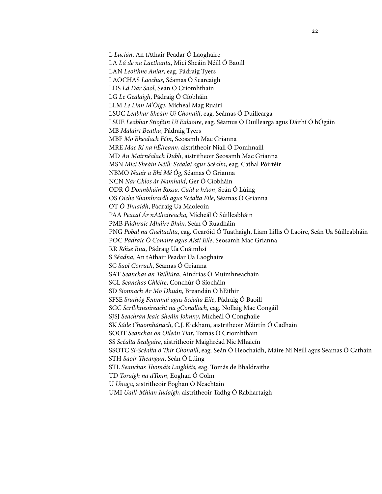L Lucián, An tAthair Peadar Ó Laoghaire LA Lá de na Laethanta, Micí Sheáin Néill Ó Baoill LAN Leoithne Aniar, eag. Pádraig Tyers LAOCHAS Laochas, Séamas Ó Searcaigh LDS Lá Dár Saol, Seán Ó Criomhthain LG Le Gealaigh, Pádraig Ó Cíobháin LLM Le Linn M'Óige, Mícheál Mag Ruairí LSUC Leabhar Sheáin Uí Chonaill, eag. Seámas Ó Duillearga LSUE Leabhar Stiofáin Uí Ealaoire, eag. Séamus Ó Duillearga agus Dáithí Ó hÓgáin MB Malairt Beatha, Pádraig Tyers MBF Mo Bhealach Féin, Seosamh Mac Grianna MRE Mac Rí na hÉireann, aistritheoir Niall Ó Domhnaill MD An Mairnéalach Dubh, aistritheoir Seosamh Mac Grianna MSN Micí Sheáin Néill: Scéalaí agus Scéalta, eag. Cathal Póirtéir NBMO Nuair a Bhí Mé Óg, Séamas Ó Grianna NCN Nár Chlos ár Namhaid, Ger Ó Cíobháin ODR Ó Donnbháin Rossa, Cuid a hAon, Seán Ó Lúing OS Oíche Shamhraidh agus Scéalta Eile, Séamas Ó Grianna OT Ó Thuaidh, Pádraig Ua Maoleoin PAA Peacaí Ár nAthaireacha, Mícheál Ó Súilleabháin PMB Pádhraic Mháire Bhán, Seán Ó Ruadháin PNG Pobal na Gaeltachta, eag. Gearóid Ó Tuathaigh, Liam Lillis Ó Laoire, Seán Ua Súilleabháin POC Pádraic Ó Conaire agus Aistí Eile, Seosamh Mac Grianna RR Róise Rua, Pádraig Ua Cnáimhsí S Séadna, An tAthair Peadar Ua Laoghaire SC Saol Corrach, Séamas Ó Grianna SAT Seanchas an Táilliúra, Aindrias Ó Muimhneacháin SCL Seanchas Chléire, Conchúr Ó Síocháin SD Sionnach Ar Mo Dhuán, Breandán Ó hEithir SFSE Srathóg Feamnaí agus Scéalta Eile, Pádraig Ó Baoill SGC Scríbhneoireacht na gConallach, eag. Nollaig Mac Congáil SJSJ Seachrán Jeaic Sheáin Johnny, Mícheál Ó Conghaile SK Sáile Chaomhánach, C.J. Kickham, aistritheoir Máirtín Ó Cadhain SOOT Seanchas ón Oileán Tiar, Tomás Ó Criomhthain SS Scéalta Sealgaire, aistritheoir Maighréad Nic Mhaicín SSOTC Sí-Scéalta ó Thír Chonaill, eag. Seán Ó Heochaidh, Máire Ní Néill agus Séamas Ó Catháin STH Saoir Theangan, Seán Ó Lúing STL Seanchas Thomáis Laighléis, eag. Tomás de Bhaldraithe TD Toraigh na dTonn, Eoghan Ó Colm U Unaga, aistritheoir Eoghan Ó Neachtain UMI Uaill-Mhian Iúdaigh, aistritheoir Tadhg Ó Rabhartaigh

 $22$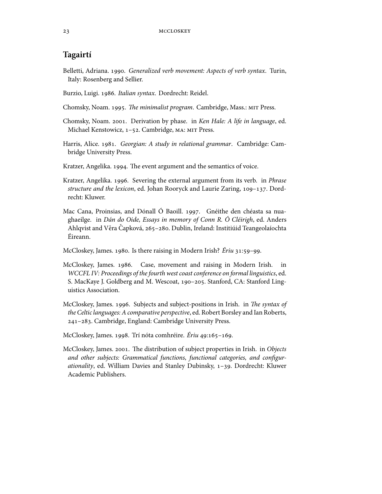# **Tagairtí**

- Belletti, Adriana. 1990. Generalized verb movement: Aspects of verb syntax. Turin, Italy: Rosenberg and Sellier.
- Burzio, Luigi. 1986. Italian syntax. Dordrecht: Reidel.
- Chomsky, Noam. 1995. The minimalist program. Cambridge, Mass.: MIT Press.
- Chomsky, Noam. 2001. Derivation by phase. in Ken Hale: A life in language, ed. Michael Kenstowicz, 1-52. Cambridge, MA: MIT Press.
- Harris, Alice. 1981. Georgian: A study in relational grammar. Cambridge: Cambridge University Press.
- Kratzer, Angelika. 1994. The event argument and the semantics of voice.
- Kratzer, Angelika. 1996. Severing the external argument from its verb. in *Phrase* structure and the lexicon, ed. Johan Rooryck and Laurie Zaring, 109-137. Dordrecht: Kluwer.
- Mac Cana, Proinsias, and Dónall Ó Baoill. 1997. Gnéithe den chéasta sa nuaghaeilge. in Dán do Oide, Essays in memory of Conn R. Ó Cléirigh, ed. Anders Ahlqvist and Věra Čapková, 265–280. Dublin, Ireland: Institiúid Teangeolaíochta Éireann.
- McCloskey, James. 1980. Is there raising in Modern Irish? Ériu 31:59-99.
- McCloskey, James. 1986. Case, movement and raising in Modern Irish. in WCCFL IV: Proceedings of the fourth west coast conference on formal linguistics, ed. S. MacKaye J. Goldberg and M. Wescoat, 190-205. Stanford, CA: Stanford Linguistics Association.
- McCloskey, James. 1996. Subjects and subject-positions in Irish. in The syntax of the Celtic languages: A comparative perspective, ed. Robert Borsley and Ian Roberts, 241-283. Cambridge, England: Cambridge University Press.
- McCloskey, James. 1998. Trí nóta comhréire. Ériu 49:165-169.
- McCloskey, James. 2001. The distribution of subject properties in Irish. in Objects and other subjects: Grammatical functions, functional categories, and configurationality, ed. William Davies and Stanley Dubinsky, 1-39. Dordrecht: Kluwer Academic Publishers.